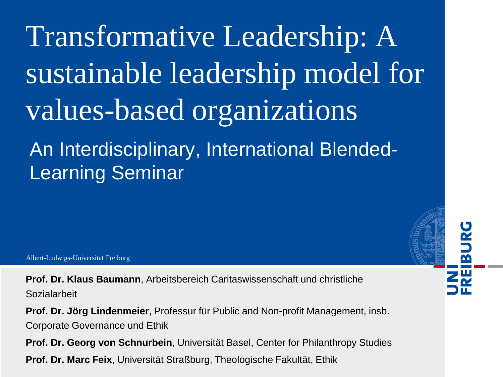Transformative Leadership: A sustainable leadership model for values-based organizations An Interdisciplinary, International Blended-Learning Seminar

Albert-Ludwigs-Universität Freiburg

**Prof. Dr. Klaus Baumann**, Arbeitsbereich Caritaswissenschaft und christliche Sozialarbeit

**Prof. Dr. Jörg Lindenmeier**, Professur für Public and Non-profit Management, insb. Corporate Governance und Ethik

**Prof. Dr. Georg von Schnurbein**, Universität Basel, Center for Philanthropy Studies **Prof. Dr. Marc Feix**, Universität Straßburg, Theologische Fakultät, Ethik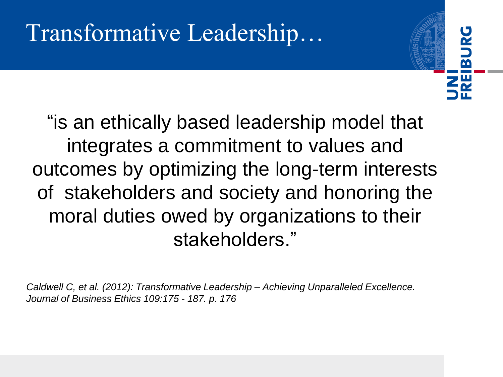## Transformative Leadership…

"is an ethically based leadership model that integrates a commitment to values and outcomes by optimizing the long-term interests of stakeholders and society and honoring the moral duties owed by organizations to their stakeholders."

 $\overline{\mathbf{r}}$ 

*Caldwell C, et al. (2012): Transformative Leadership – Achieving Unparalleled Excellence. Journal of Business Ethics 109:175 - 187. p. 176*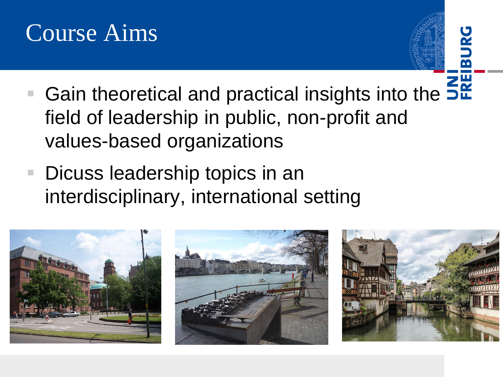### Course Aims



- Gain theoretical and practical insights into the 5<sup>2</sup> field of leadership in public, non-profit and values-based organizations
- Dicuss leadership topics in an interdisciplinary, international setting

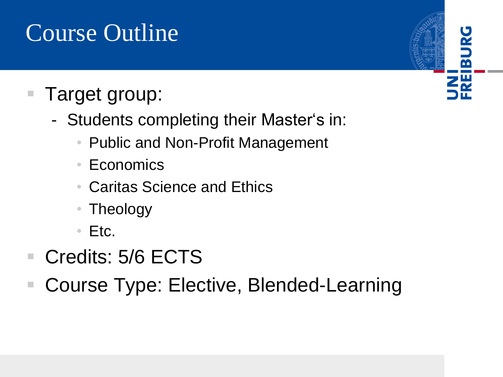## Course Outline

#### Target group:

- Students completing their Master's in:
	- Public and Non-Profit Management
	- Economics
	- Caritas Science and Ethics
	- Theology
	- Etc.
- Credits: 5/6 ECTS
- Course Type: Elective, Blended-Learning

# $\overline{\mathbf{m}}$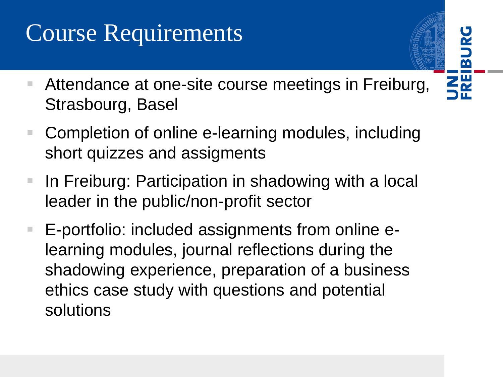## Course Requirements

■ Attendance at one-site course meetings in Freiburg, Strasbourg, Basel

 $\overline{\mathbf{a}}$ 

- Completion of online e-learning modules, including short quizzes and assigments
- In Freiburg: Participation in shadowing with a local leader in the public/non-profit sector
- E-portfolio: included assignments from online elearning modules, journal reflections during the shadowing experience, preparation of a business ethics case study with questions and potential solutions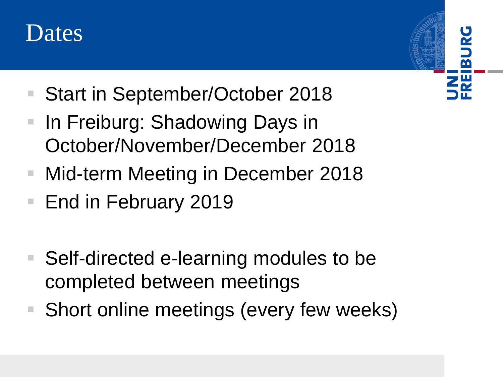

- Start in September/October 2018
- In Freiburg: Shadowing Days in October/November/December 2018

 $\overline{\mathbf{m}}$ 

- Mid-term Meeting in December 2018
- End in February 2019
- Self-directed e-learning modules to be completed between meetings
- Short online meetings (every few weeks)